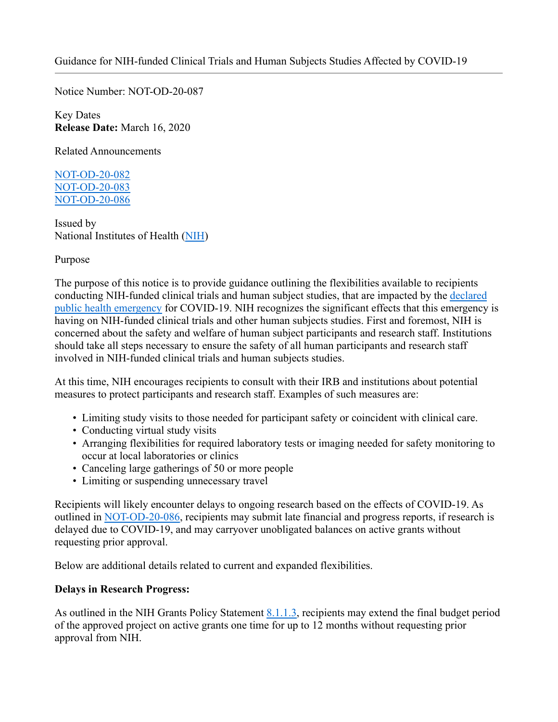Notice Number: NOT-OD-20-087

Key Dates **Release Date:** March 16, 2020

Related Announcements

NOT-OD-20-082 NOT-OD-20-083 NOT-OD-20-086

Issued by National Institutes of Health (NIH)

## Purpose

The purpose of this notice is to provide guidance outlining the flexibilities available to recipients conducting NIH-funded clinical trials and human subject studies, that are impacted by the declared public health emergency for COVID-19. NIH recognizes the significant effects that this emergency is having on NIH-funded clinical trials and other human subjects studies. First and foremost, NIH is concerned about the safety and welfare of human subject participants and research staff. Institutions should take all steps necessary to ensure the safety of all human participants and research staff involved in NIH-funded clinical trials and human subjects studies.

At this time, NIH encourages recipients to consult with their IRB and institutions about potential measures to protect participants and research staff. Examples of such measures are:

- Limiting study visits to those needed for participant safety or coincident with clinical care.
- Conducting virtual study visits
- Arranging flexibilities for required laboratory tests or imaging needed for safety monitoring to occur at local laboratories or clinics
- Canceling large gatherings of 50 or more people
- Limiting or suspending unnecessary travel

Recipients will likely encounter delays to ongoing research based on the effects of COVID-19. As outlined in NOT-OD-20-086, recipients may submit late financial and progress reports, if research is delayed due to COVID-19, and may carryover unobligated balances on active grants without requesting prior approval.

Below are additional details related to current and expanded flexibilities.

## **Delays in Research Progress:**

As outlined in the NIH Grants Policy Statement 8.1.1.3, recipients may extend the final budget period of the approved project on active grants one time for up to 12 months without requesting prior approval from NIH.